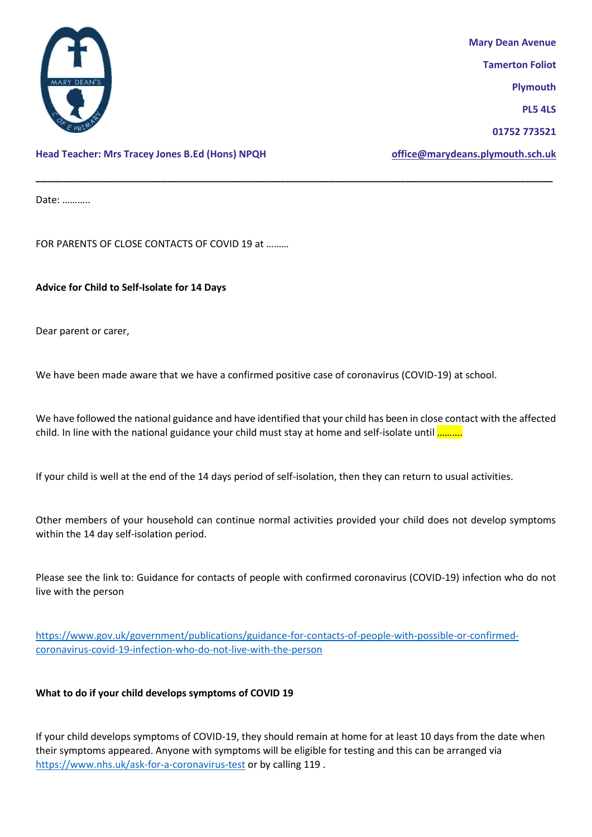

**Mary Dean Avenue Tamerton Foliot Plymouth PL5 4LS 01752 773521**

**Head Teacher: Mrs Tracey Jones B.Ed (Hons) NPQH [office@marydeans.plymouth.sch.uk](mailto:office@marydeans.plymouth.sch.uk)**

Date: ………..

FOR PARENTS OF CLOSE CONTACTS OF COVID 19 at ………

**Advice for Child to Self-Isolate for 14 Days** 

Dear parent or carer,

We have been made aware that we have a confirmed positive case of coronavirus (COVID-19) at school.

We have followed the national guidance and have identified that your child has been in close contact with the affected child. In line with the national guidance your child must stay at home and self-isolate until ..........

**\_\_\_\_\_\_\_\_\_\_\_\_\_\_\_\_\_\_\_\_\_\_\_\_\_\_\_\_\_\_\_\_\_\_\_\_\_\_\_\_\_\_\_\_\_\_\_\_\_\_\_\_\_\_\_\_\_\_\_\_\_\_\_\_\_\_\_\_\_\_\_\_\_\_\_\_\_\_\_\_\_\_\_\_\_\_\_\_\_\_\_\_\_\_\_**

If your child is well at the end of the 14 days period of self-isolation, then they can return to usual activities.

Other members of your household can continue normal activities provided your child does not develop symptoms within the 14 day self-isolation period.

Please see the link to: Guidance for contacts of people with confirmed coronavirus (COVID-19) infection who do not live with the person

[https://www.gov.uk/government/publications/guidance-for-contacts-of-people-with-possible-or-confirmed](https://www.gov.uk/government/publications/guidance-for-contacts-of-people-with-possible-or-confirmed-coronavirus-covid-19-infection-who-do-not-live-with-the-person)[coronavirus-covid-19-infection-who-do-not-live-with-the-person](https://www.gov.uk/government/publications/guidance-for-contacts-of-people-with-possible-or-confirmed-coronavirus-covid-19-infection-who-do-not-live-with-the-person)

## **What to do if your child develops symptoms of COVID 19**

If your child develops symptoms of COVID-19, they should remain at home for at least 10 days from the date when their symptoms appeared. Anyone with symptoms will be eligible for testing and this can be arranged via <https://www.nhs.uk/ask-for-a-coronavirus-test> or by calling 119 .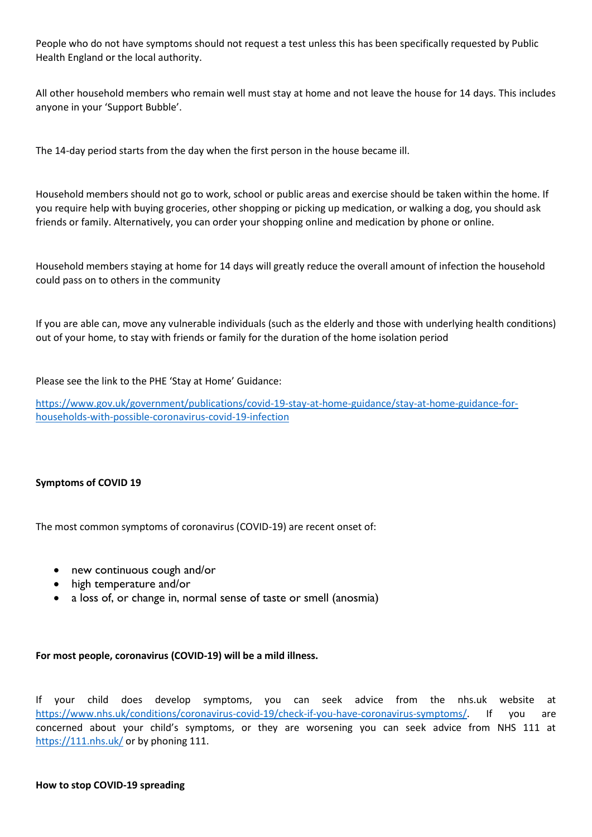People who do not have symptoms should not request a test unless this has been specifically requested by Public Health England or the local authority.

All other household members who remain well must stay at home and not leave the house for 14 days. This includes anyone in your 'Support Bubble'.

The 14-day period starts from the day when the first person in the house became ill.

Household members should not go to work, school or public areas and exercise should be taken within the home. If you require help with buying groceries, other shopping or picking up medication, or walking a dog, you should ask friends or family. Alternatively, you can order your shopping online and medication by phone or online.

Household members staying at home for 14 days will greatly reduce the overall amount of infection the household could pass on to others in the community

If you are able can, move any vulnerable individuals (such as the elderly and those with underlying health conditions) out of your home, to stay with friends or family for the duration of the home isolation period

Please see the link to the PHE 'Stay at Home' Guidance:

[https://www.gov.uk/government/publications/covid-19-stay-at-home-guidance/stay-at-home-guidance-for](https://www.gov.uk/government/publications/covid-19-stay-at-home-guidance/stay-at-home-guidance-for-households-with-possible-coronavirus-covid-19-infection)[households-with-possible-coronavirus-covid-19-infection](https://www.gov.uk/government/publications/covid-19-stay-at-home-guidance/stay-at-home-guidance-for-households-with-possible-coronavirus-covid-19-infection)

## **Symptoms of COVID 19**

The most common symptoms of coronavirus (COVID-19) are recent onset of:

- new continuous cough and/or
- high temperature and/or
- a loss of, or change in, normal sense of taste or smell (anosmia)

## **For most people, coronavirus (COVID-19) will be a mild illness.**

If your child does develop symptoms, you can seek advice from the nhs.uk website at [https://www.nhs.uk/conditions/coronavirus-covid-19/check-if-you-have-coronavirus-symptoms/.](https://www.nhs.uk/conditions/coronavirus-covid-19/check-if-you-have-coronavirus-symptoms/) If you are concerned about your child's symptoms, or they are worsening you can seek advice from NHS 111 at <https://111.nhs.uk/> or by phoning 111.